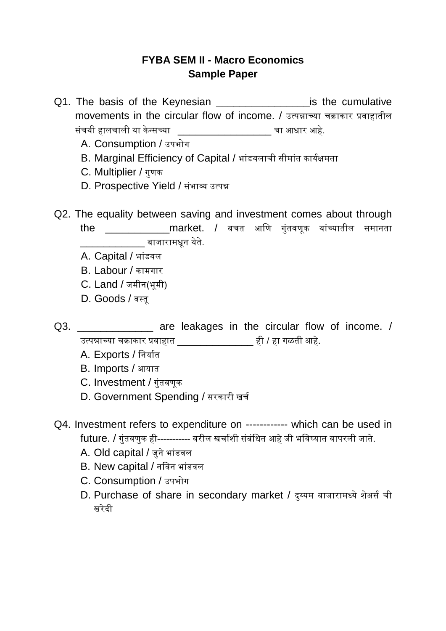## **FYBA SEM II - Macro Economics Sample Paper**

- Q1. The basis of the Keynesian **Example 201.** The basis of the Keynesian movements in the circular flow of income. / उत्पन्नाच्या चक्राकार प्रवाहातील संचयी हालचाली या केन्सच्या  $\sqrt{2}$ \_\_\_\_\_\_\_\_\_\_\_\_\_\_\_\_\_\_\_\_\_\_\_\_\_\_ चा आधार आहे.
	- A. Consumption / उपभोग
	- B. Marginal Efficiency of Capital / भांडवलाची सीमांत कार्यक्षमता
	- C. Multiplier / गुणक
	- D. Prospective Yield / संभाव्य उत्पन्न
- Q2. The equality between saving and investment comes about through the \_\_\_\_\_\_\_\_\_\_\_market. / बचत आणण गुंतवणूक यांच्यातील समानता बाजारामधून येते.
	- A. Capital / भांडवल
	- B. Labour / कामगार
	- C. Land / जमीन(भूमी)
	- D. Goods / वस्तू
- Q3. \_\_\_\_\_\_\_\_\_\_\_\_\_\_ are leakages in the circular flow of income. / उत्पन्नाच्या चक्राकार प्रवाहात \_\_\_\_\_\_\_\_\_\_\_\_\_ ही / हा गळती आहे.
	- A. Exports / निर्यात
	- B. Imports / आयात
	- C. Investment / गुंतवणूक
	- D. Government Spending / सरकारी खर्च
- Q4. Investment refers to expenditure on ------------ which can be used in future. / गुंतवणुक ही----------- वरील खचायशी संबंणधत आहे जी भणवष्यात वापरली जाते.
	- A. Old capital / जुने भांडवल
	- B. New capital / नविन भांडवल
	- C. Consumption / उपभोग
	- D. Purchase of share in secondary market / दुय्यम बाजारामध्ये शेअर्स ची खरेदी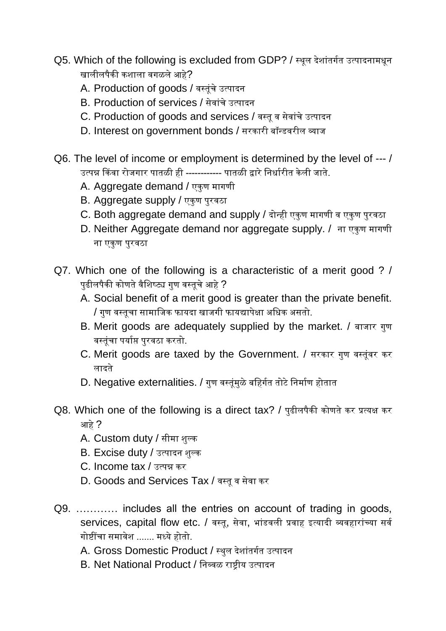- Q5. Which of the following is excluded from GDP? / स्थूल देशांतर्गत उत्पादनामधून खालीलपैकी कशाला वगळले आहे?
	- A. Production of goods / वस्तूंचे उत्पादन
	- B. Production of services / सेवांचे उत्पादन
	- C. Production of goods and services / वस्तू व सेवांचे उत्पादन
	- D. Interest on government bonds / सरकारी बॉन्डवरील व्याज
- Q6. The level of income or employment is determined by the level of --- / उत्पन्न किंवा रोजगार पातळी ही ------------ पातळी द्वारे निर्धारीत केली जाते.
	- A. Aggregate demand / एकण मागणी
	- B. Aggregate supply / एकुण पुरवठा
	- C. Both aggregate demand and supply / दोन्ही एकुण मागणी व एकुण पुरवठा
	- D. Neither Aggregate demand nor aggregate supply. / ना एकुण मागणी ना एकुण पुरवठा
- Q7. Which one of the following is a characteristic of a merit good ? / पुढीलपैकी कोणते वैशिष्ट्य गुण वस्तुचे आहे ?
	- A. Social benefit of a merit good is greater than the private benefit. / गुण वस्तूचा सामाणजक फायदा खाजगी फायद्यापेक्षा अणधक असतो.
	- B. Merit goods are adequately supplied by the market. / बाजार गुण वस्तुंचा पर्याप्त पुरवठा करतो.
	- C. Merit goods are taxed by the Government. / सरकार गुण वस्तूंवर कर लादते
	- D. Negative externalities. / गुण वस्तूंमुळे बहिर्गत तोटे निर्माण होतात
- Q8. Which one of the following is a direct tax? / पुढीलपैकी कोणते कर प्रत्यक्ष कर आहे ?
	- A. Custom duty / सीमा शुल्क
	- B. Excise duty / उत्पादन शुल्क
	- C. Income tax / उत्पन्न कर
	- D. Goods and Services Tax / वस्तू व सेवा कर
- Q9. ………… includes all the entries on account of trading in goods, services, capital flow etc. / वस्तू, सेवा, भांडवली प्रवाह इत्यादी व्यवहारांच्या सर्व गोष्टींचा समावेश ....... मध्ये होतो.
	- A. Gross Domestic Product / स्थुल देशांतर्गत उत्पादन
	- B. Net National Product / णनव्वळ राष्ट्रीय उत्पादन